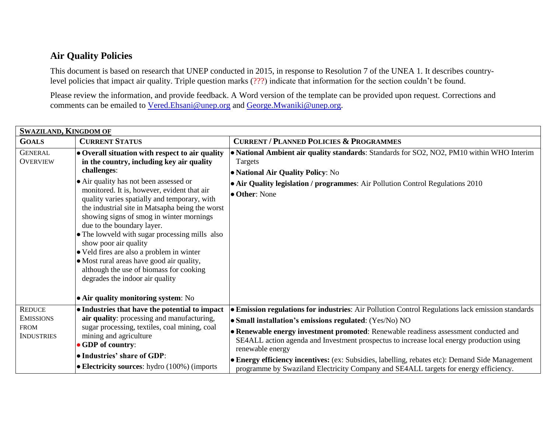## **Air Quality Policies**

This document is based on research that UNEP conducted in 2015, in response to Resolution 7 of the UNEA 1. It describes countrylevel policies that impact air quality. Triple question marks (???) indicate that information for the section couldn't be found.

Please review the information, and provide feedback. A Word version of the template can be provided upon request. Corrections and comments can be emailed to [Vered.Ehsani@unep.org](mailto:Vered.Ehsani@unep.org) and [George.Mwaniki@unep.org.](mailto:George.Mwaniki@unep.org)

| <b>SWAZILAND, KINGDOM OF</b>      |                                                                                                                                                                                                                                                                                                                                                                                                                                                                                                                                                                                                                                                                             |                                                                                                                                                                                                                                              |
|-----------------------------------|-----------------------------------------------------------------------------------------------------------------------------------------------------------------------------------------------------------------------------------------------------------------------------------------------------------------------------------------------------------------------------------------------------------------------------------------------------------------------------------------------------------------------------------------------------------------------------------------------------------------------------------------------------------------------------|----------------------------------------------------------------------------------------------------------------------------------------------------------------------------------------------------------------------------------------------|
| <b>GOALS</b>                      | <b>CURRENT STATUS</b>                                                                                                                                                                                                                                                                                                                                                                                                                                                                                                                                                                                                                                                       | <b>CURRENT / PLANNED POLICIES &amp; PROGRAMMES</b>                                                                                                                                                                                           |
| <b>GENERAL</b><br><b>OVERVIEW</b> | • Overall situation with respect to air quality<br>in the country, including key air quality<br>challenges:<br>• Air quality has not been assessed or<br>monitored. It is, however, evident that air<br>quality varies spatially and temporary, with<br>the industrial site in Matsapha being the worst<br>showing signs of smog in winter mornings<br>due to the boundary layer.<br>• The lowveld with sugar processing mills also<br>show poor air quality<br>• Veld fires are also a problem in winter<br>• Most rural areas have good air quality,<br>although the use of biomass for cooking<br>degrades the indoor air quality<br>• Air quality monitoring system: No | • National Ambient air quality standards: Standards for SO2, NO2, PM10 within WHO Interim<br>Targets<br>• National Air Quality Policy: No<br>• Air Quality legislation / programmes: Air Pollution Control Regulations 2010<br>• Other: None |
| <b>REDUCE</b>                     | • Industries that have the potential to impact                                                                                                                                                                                                                                                                                                                                                                                                                                                                                                                                                                                                                              | <b>• Emission regulations for industries:</b> Air Pollution Control Regulations lack emission standards                                                                                                                                      |
| <b>EMISSIONS</b>                  | air quality: processing and manufacturing,                                                                                                                                                                                                                                                                                                                                                                                                                                                                                                                                                                                                                                  | • Small installation's emissions regulated: (Yes/No) NO                                                                                                                                                                                      |
| <b>FROM</b>                       | sugar processing, textiles, coal mining, coal                                                                                                                                                                                                                                                                                                                                                                                                                                                                                                                                                                                                                               | • Renewable energy investment promoted: Renewable readiness assessment conducted and                                                                                                                                                         |
| <b>INDUSTRIES</b>                 | mining and agriculture<br>• GDP of country:                                                                                                                                                                                                                                                                                                                                                                                                                                                                                                                                                                                                                                 | SE4ALL action agenda and Investment prospectus to increase local energy production using                                                                                                                                                     |
|                                   |                                                                                                                                                                                                                                                                                                                                                                                                                                                                                                                                                                                                                                                                             | renewable energy                                                                                                                                                                                                                             |
|                                   | • Industries' share of GDP:                                                                                                                                                                                                                                                                                                                                                                                                                                                                                                                                                                                                                                                 | • Energy efficiency incentives: (ex: Subsidies, labelling, rebates etc): Demand Side Management                                                                                                                                              |
|                                   | $\bullet$ Electricity sources: hydro (100%) (imports                                                                                                                                                                                                                                                                                                                                                                                                                                                                                                                                                                                                                        | programme by Swaziland Electricity Company and SE4ALL targets for energy efficiency.                                                                                                                                                         |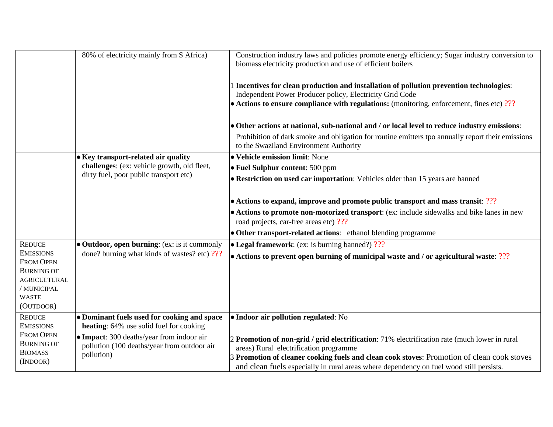|                                       | 80% of electricity mainly from S Africa)                                                 | Construction industry laws and policies promote energy efficiency; Sugar industry conversion to<br>biomass electricity production and use of efficient boilers |
|---------------------------------------|------------------------------------------------------------------------------------------|----------------------------------------------------------------------------------------------------------------------------------------------------------------|
|                                       |                                                                                          | 1 Incentives for clean production and installation of pollution prevention technologies:<br>Independent Power Producer policy, Electricity Grid Code           |
|                                       |                                                                                          | $\bullet$ Actions to ensure compliance with regulations: (monitoring, enforcement, fines etc) ???                                                              |
|                                       |                                                                                          | • Other actions at national, sub-national and / or local level to reduce industry emissions:                                                                   |
|                                       |                                                                                          | Prohibition of dark smoke and obligation for routine emitters tpo annually report their emissions<br>to the Swaziland Environment Authority                    |
|                                       | • Key transport-related air quality                                                      | • Vehicle emission limit: None                                                                                                                                 |
|                                       | challenges: (ex: vehicle growth, old fleet,                                              | • Fuel Sulphur content: 500 ppm                                                                                                                                |
|                                       | dirty fuel, poor public transport etc)                                                   | • Restriction on used car importation: Vehicles older than 15 years are banned                                                                                 |
|                                       |                                                                                          | • Actions to expand, improve and promote public transport and mass transit: ???                                                                                |
|                                       |                                                                                          | • Actions to promote non-motorized transport: (ex: include sidewalks and bike lanes in new<br>road projects, car-free areas etc) ???                           |
|                                       |                                                                                          | • Other transport-related actions: ethanol blending programme                                                                                                  |
| <b>REDUCE</b>                         | • Outdoor, open burning: (ex: is it commonly                                             | $\bullet$ Legal framework: (ex: is burning banned?) ???                                                                                                        |
| <b>EMISSIONS</b>                      | done? burning what kinds of wastes? etc) ???                                             | • Actions to prevent open burning of municipal waste and / or agricultural waste: $?$ ??                                                                       |
| <b>FROM OPEN</b><br><b>BURNING OF</b> |                                                                                          |                                                                                                                                                                |
| <b>AGRICULTURAL</b>                   |                                                                                          |                                                                                                                                                                |
| / MUNICIPAL                           |                                                                                          |                                                                                                                                                                |
| <b>WASTE</b>                          |                                                                                          |                                                                                                                                                                |
| (OUTDOOR)                             |                                                                                          |                                                                                                                                                                |
| <b>REDUCE</b><br><b>EMISSIONS</b>     | • Dominant fuels used for cooking and space<br>heating: 64% use solid fuel for cooking   | · Indoor air pollution regulated: No                                                                                                                           |
| <b>FROM OPEN</b><br><b>BURNING OF</b> | • Impact: 300 deaths/year from indoor air<br>pollution (100 deaths/year from outdoor air | 2 Promotion of non-grid / grid electrification: 71% electrification rate (much lower in rural<br>areas) Rural electrification programme                        |
| <b>BIOMASS</b><br>(INDOOR)            | pollution)                                                                               | 3 Promotion of cleaner cooking fuels and clean cook stoves: Promotion of clean cook stoves                                                                     |
|                                       |                                                                                          | and clean fuels especially in rural areas where dependency on fuel wood still persists.                                                                        |